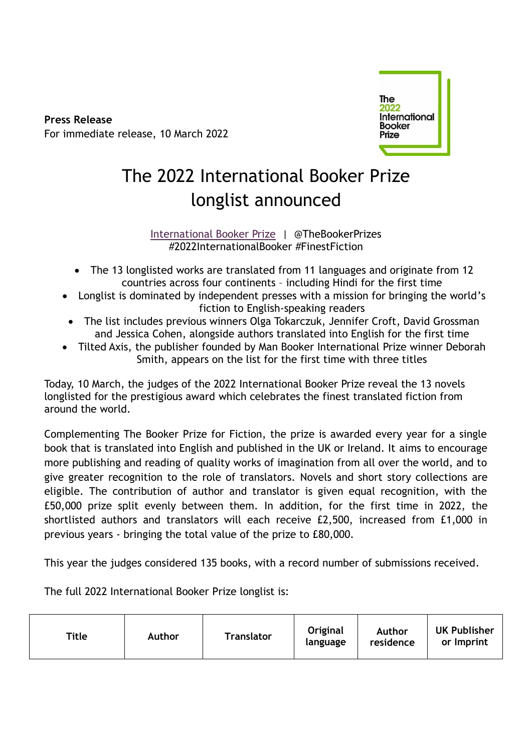**Press Release** For immediate release, 10 March 2022



# The 2022 International Booker Prize longlist announced

[International Booker Prize](https://thebookerprizes.com/international-booker) | @TheBookerPrizes #2022InternationalBooker #FinestFiction

- The 13 longlisted works are translated from 11 languages and originate from 12 countries across four continents – including Hindi for the first time
- Longlist is dominated by independent presses with a mission for bringing the world's fiction to English-speaking readers
- The list includes previous winners Olga Tokarczuk, Jennifer Croft, David Grossman and Jessica Cohen, alongside authors translated into English for the first time
- Tilted Axis, the publisher founded by Man Booker International Prize winner Deborah Smith, appears on the list for the first time with three titles

Today, 10 March, the judges of the 2022 International Booker Prize reveal the 13 novels longlisted for the prestigious award which celebrates the finest translated fiction from around the world.

Complementing The Booker Prize for Fiction, the prize is awarded every year for a single book that is translated into English and published in the UK or Ireland. It aims to encourage more publishing and reading of quality works of imagination from all over the world, and to give greater recognition to the role of translators. Novels and short story collections are eligible. The contribution of author and translator is given equal recognition, with the £50,000 prize split evenly between them. In addition, for the first time in 2022, the shortlisted authors and translators will each receive £2,500, increased from £1,000 in previous years - bringing the total value of the prize to £80,000.

This year the judges considered 135 books, with a record number of submissions received.

The full 2022 International Booker Prize longlist is:

| Original<br>Author<br>Title<br><b>Translator</b><br><b>Author</b><br>residence<br>language |  |  |  |  |  | <b>UK Publisher</b><br>or Imprint |
|--------------------------------------------------------------------------------------------|--|--|--|--|--|-----------------------------------|
|--------------------------------------------------------------------------------------------|--|--|--|--|--|-----------------------------------|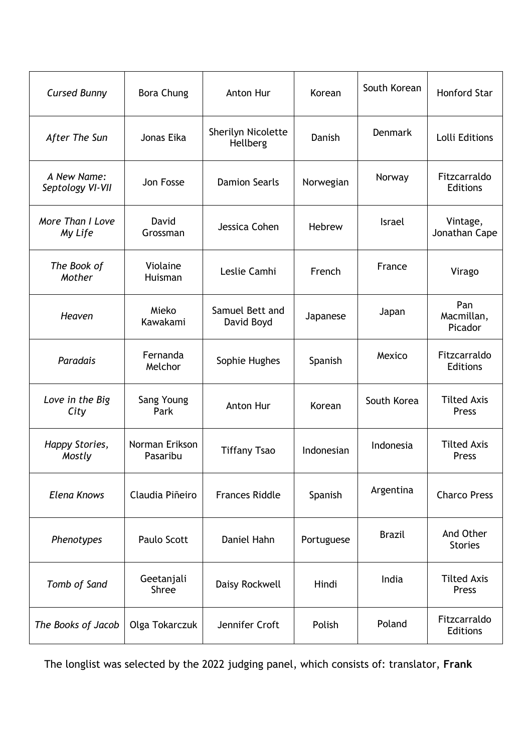| <b>Cursed Bunny</b>             | <b>Bora Chung</b>          | Anton Hur                      | Korean     | South Korean   | <b>Honford Star</b>             |
|---------------------------------|----------------------------|--------------------------------|------------|----------------|---------------------------------|
| After The Sun                   | Jonas Eika                 | Sherilyn Nicolette<br>Hellberg | Danish     | <b>Denmark</b> | Lolli Editions                  |
| A New Name:<br>Septology VI-VII | Jon Fosse                  | <b>Damion Searls</b>           | Norwegian  | Norway         | Fitzcarraldo<br><b>Editions</b> |
| More Than I Love<br>My Life     | David<br>Grossman          | Jessica Cohen                  | Hebrew     | <b>Israel</b>  | Vintage,<br>Jonathan Cape       |
| The Book of<br>Mother           | Violaine<br>Huisman        | Leslie Camhi                   | French     | France         | Virago                          |
| Heaven                          | Mieko<br>Kawakami          | Samuel Bett and<br>David Boyd  | Japanese   | Japan          | Pan<br>Macmillan,<br>Picador    |
| Paradais                        | Fernanda<br>Melchor        | Sophie Hughes                  | Spanish    | Mexico         | Fitzcarraldo<br>Editions        |
| Love in the Big<br>City         | Sang Young<br>Park         | Anton Hur                      | Korean     | South Korea    | <b>Tilted Axis</b><br>Press     |
| Happy Stories,<br>Mostly        | Norman Erikson<br>Pasaribu | <b>Tiffany Tsao</b>            | Indonesian | Indonesia      | <b>Tilted Axis</b><br>Press     |
| <b>Elena Knows</b>              | Claudia Piñeiro            | <b>Frances Riddle</b>          | Spanish    | Argentina      | <b>Charco Press</b>             |
| Phenotypes                      | Paulo Scott                | Daniel Hahn                    | Portuguese | <b>Brazil</b>  | And Other<br><b>Stories</b>     |
| Tomb of Sand                    | Geetanjali<br><b>Shree</b> | Daisy Rockwell                 | Hindi      | India          | <b>Tilted Axis</b><br>Press     |
| The Books of Jacob              | Olga Tokarczuk             | Jennifer Croft                 | Polish     | Poland         | Fitzcarraldo<br><b>Editions</b> |

The longlist was selected by the 2022 judging panel, which consists of: translator, **Frank**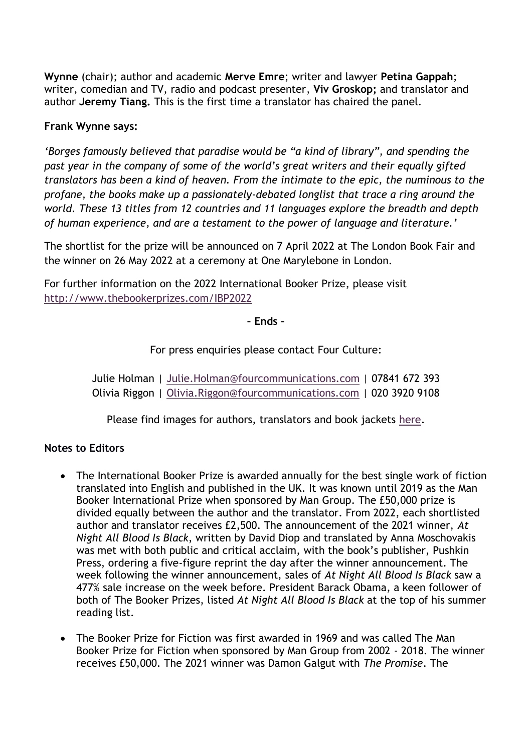**Wynne** (chair); author and academic **Merve Emre**; writer and lawyer **Petina Gappah**; writer, comedian and TV, radio and podcast presenter, **Viv Groskop;** and translator and author **Jeremy Tiang.** This is the first time a translator has chaired the panel.

## **Frank Wynne says:**

*'Borges famously believed that paradise would be "a kind of library", and spending the past year in the company of some of the world's great writers and their equally gifted translators has been a kind of heaven. From the intimate to the epic, the numinous to the profane, the books make up a passionately-debated longlist that trace a ring around the world. These 13 titles from 12 countries and 11 languages explore the breadth and depth of human experience, and are a testament to the power of language and literature.'*

The shortlist for the prize will be announced on 7 April 2022 at The London Book Fair and the winner on 26 May 2022 at a ceremony at One Marylebone in London.

For further information on the 2022 International Booker Prize, please visit <http://www.thebookerprizes.com/IBP2022>

**– Ends –**

For press enquiries please contact Four Culture:

Julie Holman | [Julie.Holman@fourcommunications.com](mailto:Julie.Holman@fourcommunications.com) | 07841 672 393 Olivia Riggon | [Olivia.Riggon@fourcommunications.com](mailto:Olivia.Riggon@fourcommunications.com) | 020 3920 9108

Please find images for authors, translators and book jackets [here.](https://www.flickr.com/photos/themanbookerprizes/sets/)

## **Notes to Editors**

- The International Booker Prize is awarded annually for the best single work of fiction translated into English and published in the UK. It was known until 2019 as the Man Booker International Prize when sponsored by Man Group. The £50,000 prize is divided equally between the author and the translator. From 2022, each shortlisted author and translator receives £2,500. The announcement of the 2021 winner, *At Night All Blood Is Black*, written by David Diop and translated by Anna Moschovakis was met with both public and critical acclaim, with the book's publisher, Pushkin Press, ordering a five-figure reprint the day after the winner announcement. The week following the winner announcement, sales of *At Night All Blood Is Black* saw a 477% sale increase on the week before. President Barack Obama, a keen follower of both of The Booker Prizes, listed *At Night All Blood Is Black* at the top of his summer reading list.
- The Booker Prize for Fiction was first awarded in 1969 and was called The Man Booker Prize for Fiction when sponsored by Man Group from 2002 - 2018. The winner receives £50,000. The 2021 winner was Damon Galgut with *The Promise*. The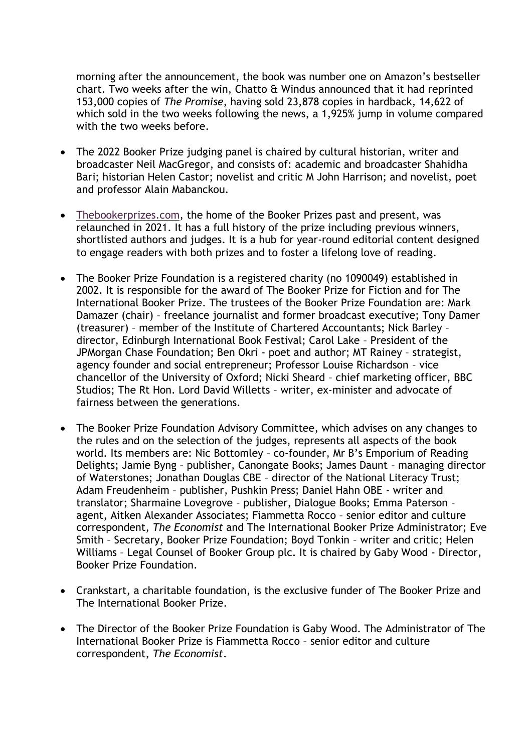morning after the announcement, the book was number one on Amazon's bestseller chart. Two weeks after the win, Chatto & Windus announced that it had reprinted 153,000 copies of *The Promise*, having sold 23,878 copies in hardback, 14,622 of which sold in the two weeks following the news, a 1,925% jump in volume compared with the two weeks before.

- The 2022 Booker Prize judging panel is chaired by cultural historian, writer and broadcaster Neil MacGregor, and consists of: academic and broadcaster Shahidha Bari; historian Helen Castor; novelist and critic M John Harrison; and novelist, poet and professor Alain Mabanckou.
- [Thebookerprizes.com,](http://www.thebookerprizes.com/) the home of the Booker Prizes past and present, was relaunched in 2021. It has a full history of the prize including previous winners, shortlisted authors and judges. It is a hub for year-round editorial content designed to engage readers with both prizes and to foster a lifelong love of reading.
- The Booker Prize Foundation is a registered charity (no 1090049) established in 2002. It is responsible for the award of The Booker Prize for Fiction and for The International Booker Prize. The trustees of the Booker Prize Foundation are: Mark Damazer (chair) – freelance journalist and former broadcast executive; Tony Damer (treasurer) – member of the Institute of Chartered Accountants; Nick Barley – director, Edinburgh International Book Festival; Carol Lake – President of the JPMorgan Chase Foundation; Ben Okri - poet and author; MT Rainey – strategist, agency founder and social entrepreneur; Professor Louise Richardson – vice chancellor of the University of Oxford; Nicki Sheard – chief marketing officer, BBC Studios; The Rt Hon. Lord David Willetts – writer, ex-minister and advocate of fairness between the generations.
- The Booker Prize Foundation Advisory Committee, which advises on any changes to the rules and on the selection of the judges, represents all aspects of the book world. Its members are: Nic Bottomley – co-founder, Mr B's Emporium of Reading Delights; Jamie Byng – publisher, Canongate Books; James Daunt – managing director of Waterstones; Jonathan Douglas CBE – director of the National Literacy Trust; Adam Freudenheim – publisher, Pushkin Press; Daniel Hahn OBE - writer and translator; Sharmaine Lovegrove – publisher, Dialogue Books; Emma Paterson – agent, Aitken Alexander Associates; Fiammetta Rocco – senior editor and culture correspondent, *The Economist* and The International Booker Prize Administrator; Eve Smith – Secretary, Booker Prize Foundation; Boyd Tonkin – writer and critic; Helen Williams – Legal Counsel of Booker Group plc. It is chaired by Gaby Wood - Director, Booker Prize Foundation.
- Crankstart, a charitable foundation, is the exclusive funder of The Booker Prize and The International Booker Prize.
- The Director of the Booker Prize Foundation is Gaby Wood. The Administrator of The International Booker Prize is Fiammetta Rocco – senior editor and culture correspondent, *The Economist*.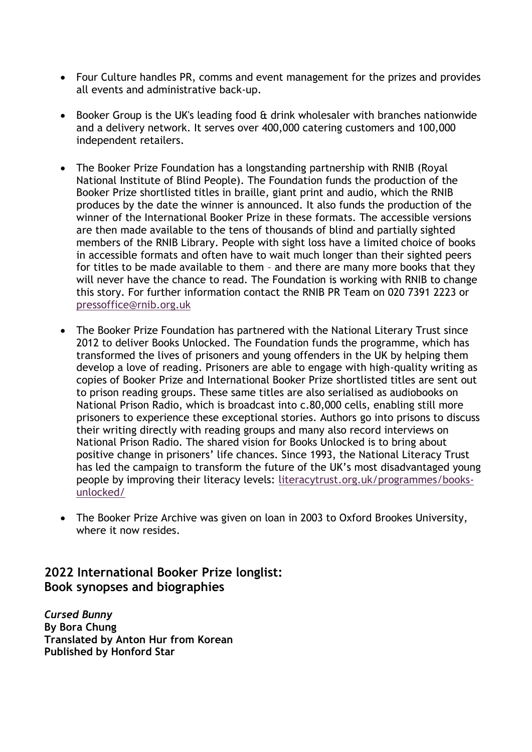- Four Culture handles PR, comms and event management for the prizes and provides all events and administrative back-up.
- Booker Group is the UK's leading food & drink wholesaler with branches nationwide and a delivery network. It serves over 400,000 catering customers and 100,000 independent retailers.
- The Booker Prize Foundation has a longstanding partnership with RNIB (Royal National Institute of Blind People). The Foundation funds the production of the Booker Prize shortlisted titles in braille, giant print and audio, which the RNIB produces by the date the winner is announced. It also funds the production of the winner of the International Booker Prize in these formats. The accessible versions are then made available to the tens of thousands of blind and partially sighted members of the RNIB Library. People with sight loss have a limited choice of books in accessible formats and often have to wait much longer than their sighted peers for titles to be made available to them – and there are many more books that they will never have the chance to read. The Foundation is working with RNIB to change this story. For further information contact the RNIB PR Team on 020 7391 2223 or [pressoffice@rnib.org.uk](mailto:pressoffice@rnib.org.uk)
- The Booker Prize Foundation has partnered with the National Literary Trust since 2012 to deliver Books Unlocked. The Foundation funds the programme, which has transformed the lives of prisoners and young offenders in the UK by helping them develop a love of reading. Prisoners are able to engage with high-quality writing as copies of Booker Prize and International Booker Prize shortlisted titles are sent out to prison reading groups. These same titles are also serialised as audiobooks on National Prison Radio, which is broadcast into c.80,000 cells, enabling still more prisoners to experience these exceptional stories. Authors go into prisons to discuss their writing directly with reading groups and many also record interviews on National Prison Radio. The shared vision for Books Unlocked is to bring about positive change in prisoners' life chances. Since 1993, the National Literacy Trust has led the campaign to transform the future of the UK's most disadvantaged young people by improving their literacy levels: [literacytrust.org.uk/programmes/books](https://literacytrust.org.uk/programmes/books-unlocked/)[unlocked/](https://literacytrust.org.uk/programmes/books-unlocked/)
- The Booker Prize Archive was given on loan in 2003 to Oxford Brookes University, where it now resides.

## **2022 International Booker Prize longlist: Book synopses and biographies**

*Cursed Bunny* **By Bora Chung Translated by Anton Hur from Korean Published by Honford Star**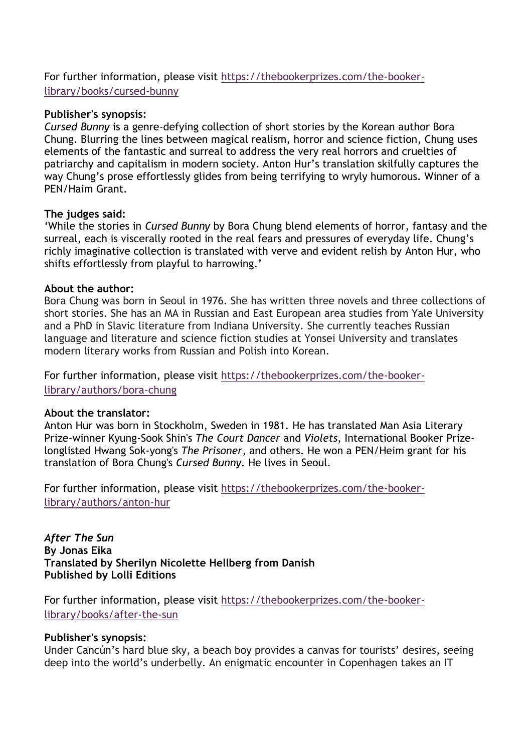For further information, please visit [https://thebookerprizes.com/the-booker](https://thebookerprizes.com/the-booker-library/books/cursed-bunny)[library/books/cursed-bunny](https://thebookerprizes.com/the-booker-library/books/cursed-bunny)

#### **Publisher's synopsis:**

*Cursed Bunny* is a genre-defying collection of short stories by the Korean author Bora Chung. Blurring the lines between magical realism, horror and science fiction, Chung uses elements of the fantastic and surreal to address the very real horrors and cruelties of patriarchy and capitalism in modern society. Anton Hur's translation skilfully captures the way Chung's prose effortlessly glides from being terrifying to wryly humorous. Winner of a PEN/Haim Grant.

## **The judges said:**

'While the stories in *Cursed Bunny* by Bora Chung blend elements of horror, fantasy and the surreal, each is viscerally rooted in the real fears and pressures of everyday life. Chung's richly imaginative collection is translated with verve and evident relish by Anton Hur, who shifts effortlessly from playful to harrowing.'

## **About the author:**

Bora Chung was born in Seoul in 1976. She has written three novels and three collections of short stories. She has an MA in Russian and East European area studies from Yale University and a PhD in Slavic literature from Indiana University. She currently teaches Russian language and literature and science fiction studies at Yonsei University and translates modern literary works from Russian and Polish into Korean.

For further information, please visit [https://thebookerprizes.com/the-booker](https://thebookerprizes.com/the-booker-library/authors/bora-chung)[library/authors/bora-chung](https://thebookerprizes.com/the-booker-library/authors/bora-chung)

#### **About the translator:**

Anton Hur was born in Stockholm, Sweden in 1981. He has translated Man Asia Literary Prize-winner Kyung-Sook Shin's *The Court Dancer* and *Violets*, International Booker Prizelonglisted Hwang Sok-yong's *The Prisoner*, and others. He won a PEN/Heim grant for his translation of Bora Chung's *Cursed Bunny.* He lives in Seoul.

For further information, please visit [https://thebookerprizes.com/the-booker](https://thebookerprizes.com/the-booker-library/authors/anton-hur)[library/authors/anton-hur](https://thebookerprizes.com/the-booker-library/authors/anton-hur)

*After The Sun* **By Jonas Eika Translated by Sherilyn Nicolette Hellberg from Danish Published by Lolli Editions**

For further information, please visit [https://thebookerprizes.com/the-booker](https://thebookerprizes.com/the-booker-library/books/after-the-sun)[library/books/after-the-sun](https://thebookerprizes.com/the-booker-library/books/after-the-sun)

## **Publisher's synopsis:**

Under Cancún's hard blue sky, a beach boy provides a canvas for tourists' desires, seeing deep into the world's underbelly. An enigmatic encounter in Copenhagen takes an IT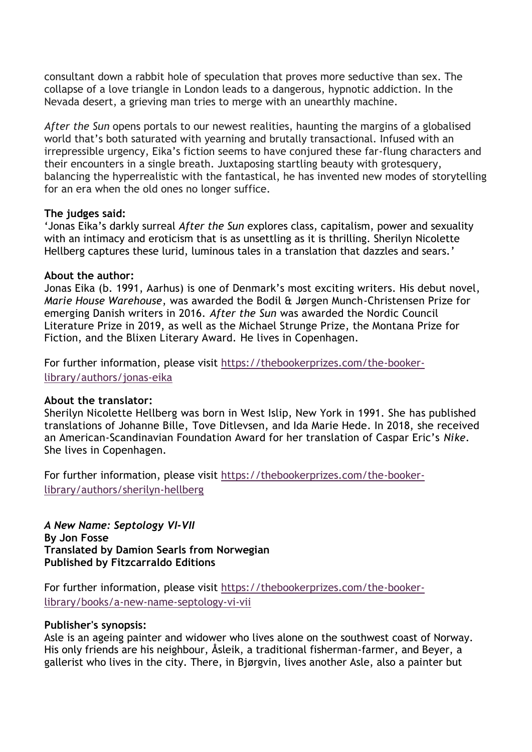consultant down a rabbit hole of speculation that proves more seductive than sex. The collapse of a love triangle in London leads to a dangerous, hypnotic addiction. In the Nevada desert, a grieving man tries to merge with an unearthly machine.

*After the Sun* opens portals to our newest realities, haunting the margins of a globalised world that's both saturated with yearning and brutally transactional. Infused with an irrepressible urgency, Eika's fiction seems to have conjured these far-flung characters and their encounters in a single breath. Juxtaposing startling beauty with grotesquery, balancing the hyperrealistic with the fantastical, he has invented new modes of storytelling for an era when the old ones no longer suffice.

#### **The judges said:**

'Jonas Eika's darkly surreal *After the Sun* explores class, capitalism, power and sexuality with an intimacy and eroticism that is as unsettling as it is thrilling. Sherilyn Nicolette Hellberg captures these lurid, luminous tales in a translation that dazzles and sears.'

## **About the author:**

Jonas Eika (b. 1991, Aarhus) is one of Denmark's most exciting writers. His debut novel, *Marie House Warehouse*, was awarded the Bodil & Jørgen Munch-Christensen Prize for emerging Danish writers in 2016. *After the Sun* was awarded the Nordic Council Literature Prize in 2019, as well as the Michael Strunge Prize, the Montana Prize for Fiction, and the Blixen Literary Award. He lives in Copenhagen.

For further information, please visit [https://thebookerprizes.com/the-booker](https://thebookerprizes.com/the-booker-library/authors/jonas-eika)[library/authors/jonas-eika](https://thebookerprizes.com/the-booker-library/authors/jonas-eika)

#### **About the translator:**

Sherilyn Nicolette Hellberg was born in West Islip, New York in 1991. She has published translations of Johanne Bille, Tove Ditlevsen, and Ida Marie Hede. In 2018, she received an American-Scandinavian Foundation Award for her translation of Caspar Eric's *Nike*. She lives in Copenhagen.

For further information, please visit [https://thebookerprizes.com/the-booker](https://thebookerprizes.com/the-booker-library/authors/sherilyn-hellberg)[library/authors/sherilyn-hellberg](https://thebookerprizes.com/the-booker-library/authors/sherilyn-hellberg)

*A New Name: Septology VI-VII*  **By Jon Fosse Translated by Damion Searls from Norwegian Published by Fitzcarraldo Editions**

For further information, please visit [https://thebookerprizes.com/the-booker](https://thebookerprizes.com/the-booker-library/books/a-new-name-septology-vi-vii)[library/books/a-new-name-septology-vi-vii](https://thebookerprizes.com/the-booker-library/books/a-new-name-septology-vi-vii)

#### **Publisher's synopsis:**

Asle is an ageing painter and widower who lives alone on the southwest coast of Norway. His only friends are his neighbour, Åsleik, a traditional fisherman-farmer, and Beyer, a gallerist who lives in the city. There, in Bjørgvin, lives another Asle, also a painter but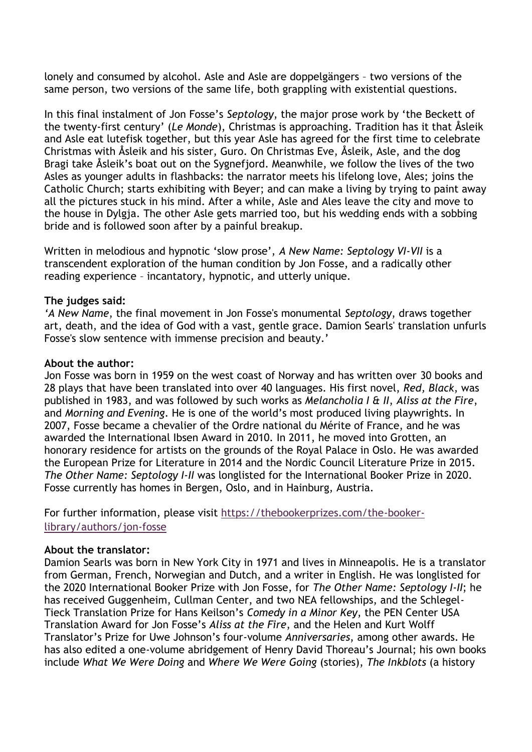lonely and consumed by alcohol. Asle and Asle are doppelgängers – two versions of the same person, two versions of the same life, both grappling with existential questions.

In this final instalment of Jon Fosse's *Septology*, the major prose work by 'the Beckett of the twenty-first century' (*Le Monde*), Christmas is approaching. Tradition has it that Åsleik and Asle eat lutefisk together, but this year Asle has agreed for the first time to celebrate Christmas with Åsleik and his sister, Guro. On Christmas Eve, Åsleik, Asle, and the dog Bragi take Åsleik's boat out on the Sygnefjord. Meanwhile, we follow the lives of the two Asles as younger adults in flashbacks: the narrator meets his lifelong love, Ales; joins the Catholic Church; starts exhibiting with Beyer; and can make a living by trying to paint away all the pictures stuck in his mind. After a while, Asle and Ales leave the city and move to the house in Dylgja. The other Asle gets married too, but his wedding ends with a sobbing bride and is followed soon after by a painful breakup.

Written in melodious and hypnotic 'slow prose', *A New Name: Septology VI-VII* is a transcendent exploration of the human condition by Jon Fosse, and a radically other reading experience – incantatory, hypnotic, and utterly unique.

## **The judges said:**

*'A New Name*, the final movement in Jon Fosse's monumental *Septology*, draws together art, death, and the idea of God with a vast, gentle grace. Damion Searls' translation unfurls Fosse's slow sentence with immense precision and beauty.'

#### **About the author:**

Jon Fosse was born in 1959 on the west coast of Norway and has written over 30 books and 28 plays that have been translated into over 40 languages. His first novel, *Red, Black*, was published in 1983, and was followed by such works as *Melancholia I & II*, *Aliss at the Fire*, and *Morning and Evening*. He is one of the world's most produced living playwrights. In 2007, Fosse became a chevalier of the Ordre national du Mérite of France, and he was awarded the International Ibsen Award in 2010. In 2011, he moved into Grotten, an honorary residence for artists on the grounds of the Royal Palace in Oslo. He was awarded the European Prize for Literature in 2014 and the Nordic Council Literature Prize in 2015. *The Other Name: Septology I-II* was longlisted for the International Booker Prize in 2020. Fosse currently has homes in Bergen, Oslo, and in Hainburg, Austria.

For further information, please visit [https://thebookerprizes.com/the-booker](https://thebookerprizes.com/the-booker-library/authors/jon-fosse)[library/authors/jon-fosse](https://thebookerprizes.com/the-booker-library/authors/jon-fosse)

## **About the translator:**

Damion Searls was born in New York City in 1971 and lives in Minneapolis. He is a translator from German, French, Norwegian and Dutch, and a writer in English. He was longlisted for the 2020 International Booker Prize with Jon Fosse, for *The Other Name: Septology I-II*; he has received Guggenheim, Cullman Center, and two NEA fellowships, and the Schlegel-Tieck Translation Prize for Hans Keilson's *Comedy in a Minor Key*, the PEN Center USA Translation Award for Jon Fosse's *Aliss at the Fire*, and the Helen and Kurt Wolff Translator's Prize for Uwe Johnson's four-volume *Anniversaries*, among other awards. He has also edited a one-volume abridgement of Henry David Thoreau's Journal; his own books include *What We Were Doing* and *Where We Were Going* (stories), *The Inkblots* (a history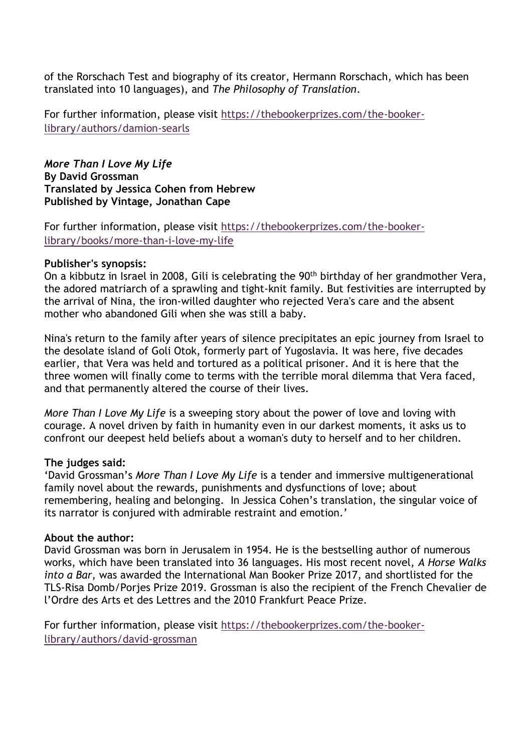of the Rorschach Test and biography of its creator, Hermann Rorschach, which has been translated into 10 languages), and *The Philosophy of Translation*.

For further information, please visit [https://thebookerprizes.com/the-booker](https://thebookerprizes.com/the-booker-library/authors/damion-searls)[library/authors/damion-searls](https://thebookerprizes.com/the-booker-library/authors/damion-searls)

*More Than I Love My Life* **By David Grossman Translated by Jessica Cohen from Hebrew Published by Vintage, Jonathan Cape** 

For further information, please visit [https://thebookerprizes.com/the-booker](https://thebookerprizes.com/the-booker-library/books/more-than-i-love-my-life)[library/books/more-than-i-love-my-life](https://thebookerprizes.com/the-booker-library/books/more-than-i-love-my-life)

## **Publisher's synopsis:**

On a kibbutz in Israel in 2008, Gili is celebrating the 90<sup>th</sup> birthday of her grandmother Vera, the adored matriarch of a sprawling and tight-knit family. But festivities are interrupted by the arrival of Nina, the iron-willed daughter who rejected Vera's care and the absent mother who abandoned Gili when she was still a baby.

Nina's return to the family after years of silence precipitates an epic journey from Israel to the desolate island of Goli Otok, formerly part of Yugoslavia. It was here, five decades earlier, that Vera was held and tortured as a political prisoner. And it is here that the three women will finally come to terms with the terrible moral dilemma that Vera faced, and that permanently altered the course of their lives.

*More Than I Love My Life* is a sweeping story about the power of love and loving with courage. A novel driven by faith in humanity even in our darkest moments, it asks us to confront our deepest held beliefs about a woman's duty to herself and to her children.

## **The judges said:**

'David Grossman's *More Than I Love My Life* is a tender and immersive multigenerational family novel about the rewards, punishments and dysfunctions of love; about remembering, healing and belonging. In Jessica Cohen's translation, the singular voice of its narrator is conjured with admirable restraint and emotion.'

## **About the author:**

David Grossman was born in Jerusalem in 1954. He is the bestselling author of numerous works, which have been translated into 36 languages. His most recent novel, *A Horse Walks into a Bar*, was awarded the International Man Booker Prize 2017, and shortlisted for the TLS-Risa Domb/Porjes Prize 2019. Grossman is also the recipient of the French Chevalier de l'Ordre des Arts et des Lettres and the 2010 Frankfurt Peace Prize.

For further information, please visit [https://thebookerprizes.com/the-booker](https://thebookerprizes.com/the-booker-library/authors/david-grossman)[library/authors/david-grossman](https://thebookerprizes.com/the-booker-library/authors/david-grossman)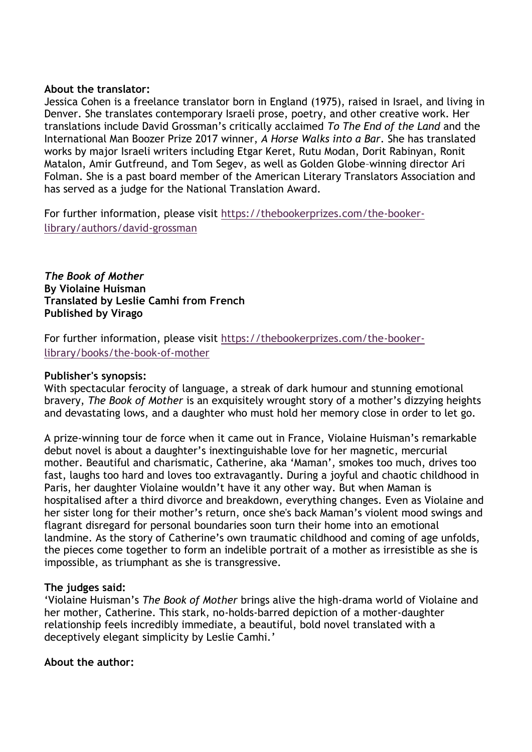#### **About the translator:**

Jessica Cohen is a freelance translator born in England (1975), raised in Israel, and living in Denver. She translates contemporary Israeli prose, poetry, and other creative work. Her translations include David Grossman's critically acclaimed *To The End of the Land* and the International Man Boozer Prize 2017 winner, *A Horse Walks into a Bar*. She has translated works by major Israeli writers including Etgar Keret, Rutu Modan, Dorit Rabinyan, Ronit Matalon, Amir Gutfreund, and Tom Segev, as well as Golden Globe–winning director Ari Folman. She is a past board member of the American Literary Translators Association and has served as a judge for the National Translation Award.

For further information, please visit [https://thebookerprizes.com/the-booker](https://thebookerprizes.com/the-booker-library/authors/david-grossman)[library/authors/david-grossman](https://thebookerprizes.com/the-booker-library/authors/david-grossman)

*The Book of Mother* **By Violaine Huisman Translated by Leslie Camhi from French Published by Virago**

For further information, please visit [https://thebookerprizes.com/the-booker](https://thebookerprizes.com/the-booker-library/books/the-book-of-mother)[library/books/the-book-of-mother](https://thebookerprizes.com/the-booker-library/books/the-book-of-mother)

## **Publisher's synopsis:**

With spectacular ferocity of language, a streak of dark humour and stunning emotional bravery, *The Book of Mother* is an exquisitely wrought story of a mother's dizzying heights and devastating lows, and a daughter who must hold her memory close in order to let go.

A prize-winning tour de force when it came out in France, Violaine Huisman's remarkable debut novel is about a daughter's inextinguishable love for her magnetic, mercurial mother. Beautiful and charismatic, Catherine, aka 'Maman', smokes too much, drives too fast, laughs too hard and loves too extravagantly. During a joyful and chaotic childhood in Paris, her daughter Violaine wouldn't have it any other way. But when Maman is hospitalised after a third divorce and breakdown, everything changes. Even as Violaine and her sister long for their mother's return, once she's back Maman's violent mood swings and flagrant disregard for personal boundaries soon turn their home into an emotional landmine. As the story of Catherine's own traumatic childhood and coming of age unfolds, the pieces come together to form an indelible portrait of a mother as irresistible as she is impossible, as triumphant as she is transgressive.

## **The judges said:**

'Violaine Huisman's *The Book of Mother* brings alive the high-drama world of Violaine and her mother, Catherine. This stark, no-holds-barred depiction of a mother-daughter relationship feels incredibly immediate, a beautiful, bold novel translated with a deceptively elegant simplicity by Leslie Camhi.'

## **About the author:**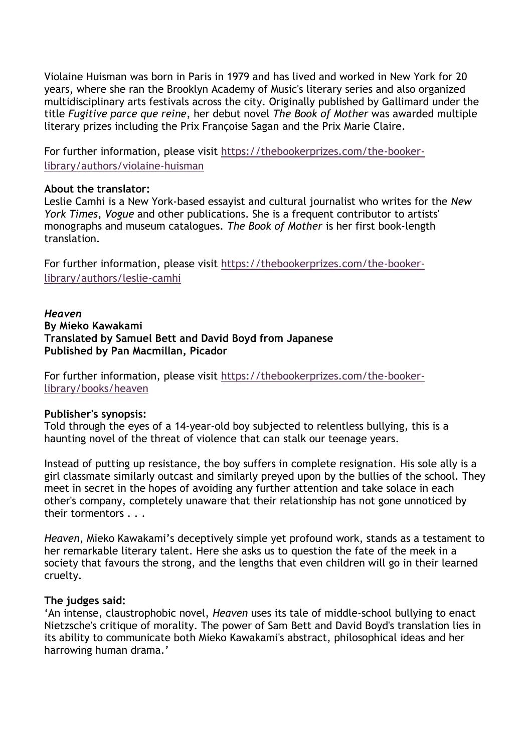Violaine Huisman was born in Paris in 1979 and has lived and worked in New York for 20 years, where she ran the Brooklyn Academy of Music's literary series and also organized multidisciplinary arts festivals across the city. Originally published by Gallimard under the title *Fugitive parce que reine*, her debut novel *The Book of Mother* was awarded multiple literary prizes including the Prix Françoise Sagan and the Prix Marie Claire.

For further information, please visit [https://thebookerprizes.com/the-booker](https://thebookerprizes.com/the-booker-library/authors/violaine-huisman)[library/authors/violaine-huisman](https://thebookerprizes.com/the-booker-library/authors/violaine-huisman)

#### **About the translator:**

Leslie Camhi is a New York-based essayist and cultural journalist who writes for the *New York Times*, *Vogue* and other publications. She is a frequent contributor to artists' monographs and museum catalogues. *The Book of Mother* is her first book-length translation.

For further information, please visit [https://thebookerprizes.com/the-booker](https://thebookerprizes.com/the-booker-library/authors/leslie-camhi)[library/authors/leslie-camhi](https://thebookerprizes.com/the-booker-library/authors/leslie-camhi)

## *Heaven* **By Mieko Kawakami Translated by Samuel Bett and David Boyd from Japanese Published by Pan Macmillan, Picador**

For further information, please visit [https://thebookerprizes.com/the-booker](https://thebookerprizes.com/the-booker-library/books/heaven)[library/books/heaven](https://thebookerprizes.com/the-booker-library/books/heaven)

## **Publisher's synopsis:**

Told through the eyes of a 14-year-old boy subjected to relentless bullying, this is a haunting novel of the threat of violence that can stalk our teenage years.

Instead of putting up resistance, the boy suffers in complete resignation. His sole ally is a girl classmate similarly outcast and similarly preyed upon by the bullies of the school. They meet in secret in the hopes of avoiding any further attention and take solace in each other's company, completely unaware that their relationship has not gone unnoticed by their tormentors . . .

*Heaven*, Mieko Kawakami's deceptively simple yet profound work, stands as a testament to her remarkable literary talent. Here she asks us to question the fate of the meek in a society that favours the strong, and the lengths that even children will go in their learned cruelty.

#### **The judges said:**

'An intense, claustrophobic novel, *Heaven* uses its tale of middle-school bullying to enact Nietzsche's critique of morality. The power of Sam Bett and David Boyd's translation lies in its ability to communicate both Mieko Kawakami's abstract, philosophical ideas and her harrowing human drama.'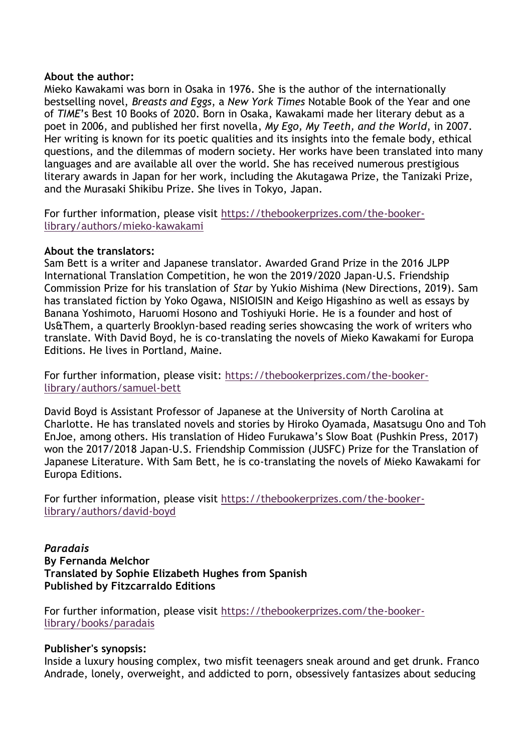#### **About the author:**

Mieko Kawakami was born in Osaka in 1976. She is the author of the internationally bestselling novel, *Breasts and Eggs*, a *New York Times* Notable Book of the Year and one of *TIME*'s Best 10 Books of 2020. Born in Osaka, Kawakami made her literary debut as a poet in 2006, and published her first novella, *My Ego, My Teeth, and the World*, in 2007. Her writing is known for its poetic qualities and its insights into the female body, ethical questions, and the dilemmas of modern society. Her works have been translated into many languages and are available all over the world. She has received numerous prestigious literary awards in Japan for her work, including the Akutagawa Prize, the Tanizaki Prize, and the Murasaki Shikibu Prize. She lives in Tokyo, Japan.

For further information, please visit [https://thebookerprizes.com/the-booker](https://thebookerprizes.com/the-booker-library/authors/mieko-kawakami)[library/authors/mieko-kawakami](https://thebookerprizes.com/the-booker-library/authors/mieko-kawakami)

## **About the translators:**

Sam Bett is a writer and Japanese translator. Awarded Grand Prize in the 2016 JLPP International Translation Competition, he won the 2019/2020 Japan-U.S. Friendship Commission Prize for his translation of *Star* by Yukio Mishima (New Directions, 2019). Sam has translated fiction by Yoko Ogawa, NISIOISIN and Keigo Higashino as well as essays by Banana Yoshimoto, Haruomi Hosono and Toshiyuki Horie. He is a founder and host of Us&Them, a quarterly Brooklyn-based reading series showcasing the work of writers who translate. With David Boyd, he is co-translating the novels of Mieko Kawakami for Europa Editions. He lives in Portland, Maine.

For further information, please visit: [https://thebookerprizes.com/the-booker](https://thebookerprizes.com/the-booker-library/authors/samuel-bett)[library/authors/samuel-bett](https://thebookerprizes.com/the-booker-library/authors/samuel-bett)

David Boyd is Assistant Professor of Japanese at the University of North Carolina at Charlotte. He has translated novels and stories by Hiroko Oyamada, Masatsugu Ono and Toh EnJoe, among others. His translation of Hideo Furukawa's Slow Boat (Pushkin Press, 2017) won the 2017/2018 Japan-U.S. Friendship Commission (JUSFC) Prize for the Translation of Japanese Literature. With Sam Bett, he is co-translating the novels of Mieko Kawakami for Europa Editions.

For further information, please visit [https://thebookerprizes.com/the-booker](https://thebookerprizes.com/the-booker-library/authors/david-boyd)[library/authors/david-boyd](https://thebookerprizes.com/the-booker-library/authors/david-boyd)

*Paradais* **By Fernanda Melchor Translated by Sophie Elizabeth Hughes from Spanish Published by Fitzcarraldo Editions**

For further information, please visit [https://thebookerprizes.com/the-booker](https://thebookerprizes.com/the-booker-library/books/paradais)[library/books/paradais](https://thebookerprizes.com/the-booker-library/books/paradais)

## **Publisher's synopsis:**

Inside a luxury housing complex, two misfit teenagers sneak around and get drunk. Franco Andrade, lonely, overweight, and addicted to porn, obsessively fantasizes about seducing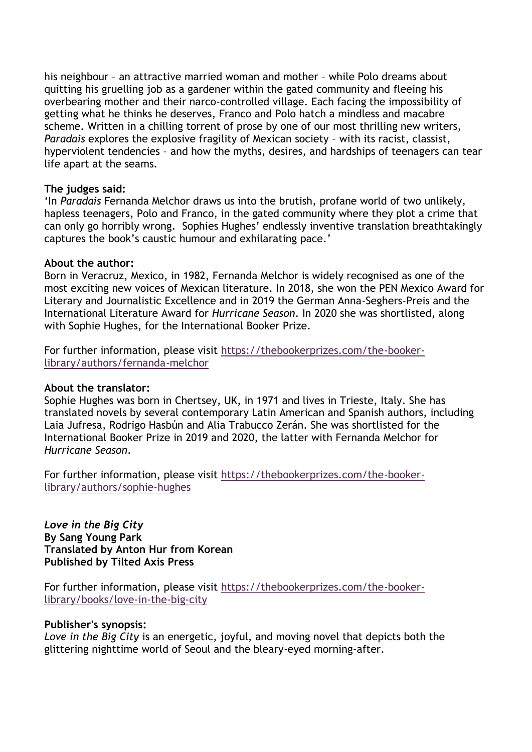his neighbour – an attractive married woman and mother – while Polo dreams about quitting his gruelling job as a gardener within the gated community and fleeing his overbearing mother and their narco-controlled village. Each facing the impossibility of getting what he thinks he deserves, Franco and Polo hatch a mindless and macabre scheme. Written in a chilling torrent of prose by one of our most thrilling new writers, *Paradais* explores the explosive fragility of Mexican society – with its racist, classist, hyperviolent tendencies – and how the myths, desires, and hardships of teenagers can tear life apart at the seams.

## **The judges said:**

'In *Paradais* Fernanda Melchor draws us into the brutish, profane world of two unlikely, hapless teenagers, Polo and Franco, in the gated community where they plot a crime that can only go horribly wrong. Sophies Hughes' endlessly inventive translation breathtakingly captures the book's caustic humour and exhilarating pace.'

## **About the author:**

Born in Veracruz, Mexico, in 1982, Fernanda Melchor is widely recognised as one of the most exciting new voices of Mexican literature. In 2018, she won the PEN Mexico Award for Literary and Journalistic Excellence and in 2019 the German Anna-Seghers-Preis and the International Literature Award for *Hurricane Season*. In 2020 she was shortlisted, along with Sophie Hughes, for the International Booker Prize.

For further information, please visit [https://thebookerprizes.com/the-booker](https://thebookerprizes.com/the-booker-library/authors/fernanda-melchor)[library/authors/fernanda-melchor](https://thebookerprizes.com/the-booker-library/authors/fernanda-melchor)

## **About the translator:**

Sophie Hughes was born in Chertsey, UK, in 1971 and lives in Trieste, Italy. She has translated novels by several contemporary Latin American and Spanish authors, including Laia Jufresa, Rodrigo Hasbún and Alia Trabucco Zerán. She was shortlisted for the International Booker Prize in 2019 and 2020, the latter with Fernanda Melchor for *Hurricane Season*.

For further information, please visit [https://thebookerprizes.com/the-booker](https://thebookerprizes.com/the-booker-library/authors/sophie-hughes)[library/authors/sophie-hughes](https://thebookerprizes.com/the-booker-library/authors/sophie-hughes)

*Love in the Big City* **By Sang Young Park Translated by Anton Hur from Korean Published by Tilted Axis Press**

For further information, please visit [https://thebookerprizes.com/the-booker](https://thebookerprizes.com/the-booker-library/books/love-in-the-big-city)[library/books/love-in-the-big-city](https://thebookerprizes.com/the-booker-library/books/love-in-the-big-city)

## **Publisher's synopsis:**

*Love in the Big City* is an energetic, joyful, and moving novel that depicts both the glittering nighttime world of Seoul and the bleary-eyed morning-after.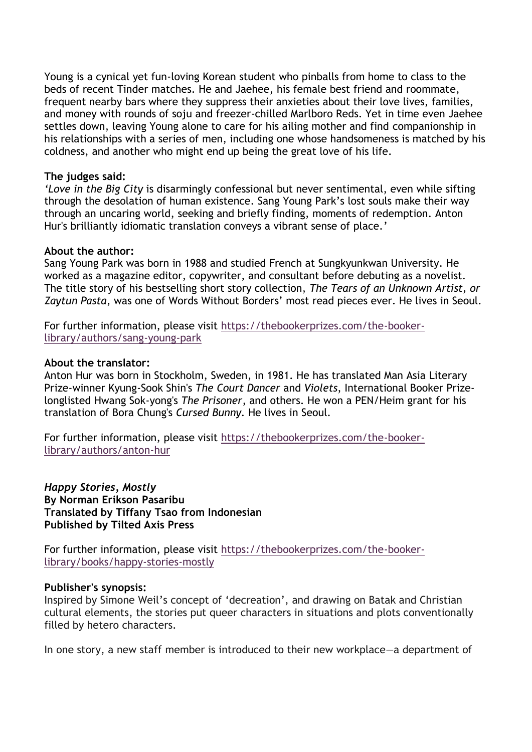Young is a cynical yet fun-loving Korean student who pinballs from home to class to the beds of recent Tinder matches. He and Jaehee, his female best friend and roommate, frequent nearby bars where they suppress their anxieties about their love lives, families, and money with rounds of soju and freezer-chilled Marlboro Reds. Yet in time even Jaehee settles down, leaving Young alone to care for his ailing mother and find companionship in his relationships with a series of men, including one whose handsomeness is matched by his coldness, and another who might end up being the great love of his life.

#### **The judges said:**

*'Love in the Big City* is disarmingly confessional but never sentimental, even while sifting through the desolation of human existence. Sang Young Park's lost souls make their way through an uncaring world, seeking and briefly finding, moments of redemption. Anton Hur's brilliantly idiomatic translation conveys a vibrant sense of place.'

## **About the author:**

Sang Young Park was born in 1988 and studied French at Sungkyunkwan University. He worked as a magazine editor, copywriter, and consultant before debuting as a novelist. The title story of his bestselling short story collection, *The Tears of an Unknown Artist, or Zaytun Pasta*, was one of Words Without Borders' most read pieces ever. He lives in Seoul.

For further information, please visit [https://thebookerprizes.com/the-booker](https://thebookerprizes.com/the-booker-library/authors/sang-young-park)[library/authors/sang-young-park](https://thebookerprizes.com/the-booker-library/authors/sang-young-park)

## **About the translator:**

Anton Hur was born in Stockholm, Sweden, in 1981. He has translated Man Asia Literary Prize-winner Kyung-Sook Shin's *The Court Dancer* and *Violets*, International Booker Prizelonglisted Hwang Sok-yong's *The Prisoner*, and others. He won a PEN/Heim grant for his translation of Bora Chung's *Cursed Bunny.* He lives in Seoul.

For further information, please visit [https://thebookerprizes.com/the-booker](https://thebookerprizes.com/the-booker-library/authors/anton-hur)[library/authors/anton-hur](https://thebookerprizes.com/the-booker-library/authors/anton-hur)

*Happy Stories, Mostly* **By Norman Erikson Pasaribu Translated by Tiffany Tsao from Indonesian Published by Tilted Axis Press**

For further information, please visit [https://thebookerprizes.com/the-booker](https://thebookerprizes.com/the-booker-library/books/happy-stories-mostly)[library/books/happy-stories-mostly](https://thebookerprizes.com/the-booker-library/books/happy-stories-mostly)

#### **Publisher's synopsis:**

Inspired by Simone Weil's concept of 'decreation', and drawing on Batak and Christian cultural elements, the stories put queer characters in situations and plots conventionally filled by hetero characters.

In one story, a new staff member is introduced to their new workplace—a department of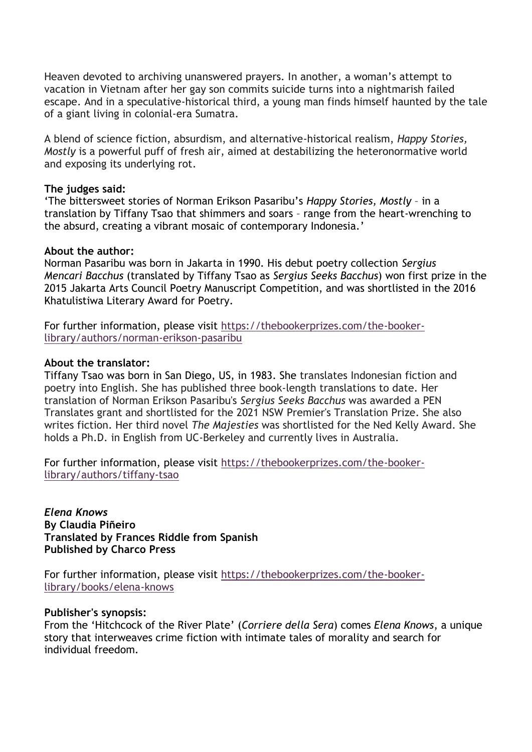Heaven devoted to archiving unanswered prayers. In another, a woman's attempt to vacation in Vietnam after her gay son commits suicide turns into a nightmarish failed escape. And in a speculative-historical third, a young man finds himself haunted by the tale of a giant living in colonial-era Sumatra.

A blend of science fiction, absurdism, and alternative-historical realism, *Happy Stories, Mostly* is a powerful puff of fresh air, aimed at destabilizing the heteronormative world and exposing its underlying rot.

#### **The judges said:**

'The bittersweet stories of Norman Erikson Pasaribu's *Happy Stories, Mostly* – in a translation by Tiffany Tsao that shimmers and soars – range from the heart-wrenching to the absurd, creating a vibrant mosaic of contemporary Indonesia.'

## **About the author:**

Norman Pasaribu was born in Jakarta in 1990. His debut poetry collection *Sergius Mencari Bacchus* (translated by Tiffany Tsao as *Sergius Seeks Bacchus*) won first prize in the 2015 Jakarta Arts Council Poetry Manuscript Competition, and was shortlisted in the 2016 Khatulistiwa Literary Award for Poetry.

For further information, please visit [https://thebookerprizes.com/the-booker](https://thebookerprizes.com/the-booker-library/authors/norman-erikson-pasaribu)[library/authors/norman-erikson-pasaribu](https://thebookerprizes.com/the-booker-library/authors/norman-erikson-pasaribu)

## **About the translator:**

Tiffany Tsao was born in San Diego, US, in 1983. She translates Indonesian fiction and poetry into English. She has published three book-length translations to date. Her translation of Norman Erikson Pasaribu's *Sergius Seeks Bacchus* was awarded a PEN Translates grant and shortlisted for the 2021 NSW Premier's Translation Prize. She also writes fiction. Her third novel *The Majesties* was shortlisted for the Ned Kelly Award. She holds a Ph.D. in English from UC-Berkeley and currently lives in Australia.

For further information, please visit [https://thebookerprizes.com/the-booker](https://thebookerprizes.com/the-booker-library/authors/tiffany-tsao)[library/authors/tiffany-tsao](https://thebookerprizes.com/the-booker-library/authors/tiffany-tsao)

*Elena Knows* **By Claudia Piñeiro Translated by Frances Riddle from Spanish Published by Charco Press**

For further information, please visit [https://thebookerprizes.com/the-booker](https://thebookerprizes.com/the-booker-library/books/elena-knows)[library/books/elena-knows](https://thebookerprizes.com/the-booker-library/books/elena-knows)

## **Publisher's synopsis:**

From the 'Hitchcock of the River Plate' (*Corriere della Sera*) comes *Elena Knows*, a unique story that interweaves crime fiction with intimate tales of morality and search for individual freedom.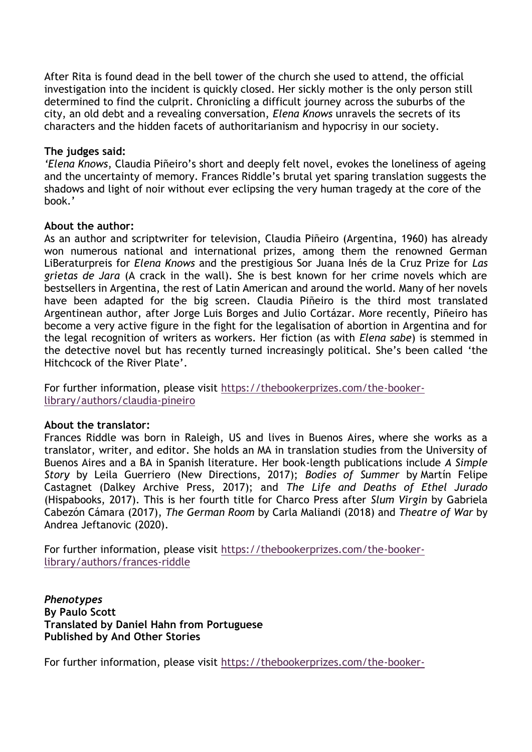After Rita is found dead in the bell tower of the church she used to attend, the official investigation into the incident is quickly closed. Her sickly mother is the only person still determined to find the culprit. Chronicling a difficult journey across the suburbs of the city, an old debt and a revealing conversation, *Elena Knows* unravels the secrets of its characters and the hidden facets of authoritarianism and hypocrisy in our society.

## **The judges said:**

*'Elena Knows*, Claudia Piñeiro's short and deeply felt novel, evokes the loneliness of ageing and the uncertainty of memory. Frances Riddle's brutal yet sparing translation suggests the shadows and light of noir without ever eclipsing the very human tragedy at the core of the book.'

## **About the author:**

As an author and scriptwriter for television, Claudia Piñeiro (Argentina, 1960) has already won numerous national and international prizes, among them the renowned German LiBeraturpreis for *Elena Knows* and the prestigious Sor Juana Inés de la Cruz Prize for *Las grietas de Jara* (A crack in the wall). She is best known for her crime novels which are bestsellers in Argentina, the rest of Latin American and around the world. Many of her novels have been adapted for the big screen. Claudia Piñeiro is the third most translated Argentinean author, after Jorge Luis Borges and Julio Cortázar. More recently, Piñeiro has become a very active figure in the fight for the legalisation of abortion in Argentina and for the legal recognition of writers as workers. Her fiction (as with *Elena sabe*) is stemmed in the detective novel but has recently turned increasingly political. She's been called 'the Hitchcock of the River Plate'.

For further information, please visit [https://thebookerprizes.com/the-booker](https://thebookerprizes.com/the-booker-library/authors/claudia-pineiro)[library/authors/claudia-pineiro](https://thebookerprizes.com/the-booker-library/authors/claudia-pineiro) 

## **About the translator:**

Frances Riddle was born in Raleigh, US and lives in Buenos Aires, where she works as a translator, writer, and editor. She holds an MA in translation studies from the University of Buenos Aires and a BA in Spanish literature. Her book-length publications include *A Simple Story* by Leila Guerriero (New Directions, 2017); *Bodies of Summer* by Martín Felipe Castagnet (Dalkey Archive Press, 2017); and *The Life and Deaths of Ethel Jurado* (Hispabooks, 2017). This is her fourth title for Charco Press after *Slum Virgin* by Gabriela Cabezón Cámara (2017), *The German Room* by Carla Maliandi (2018) and *Theatre of War* by Andrea Jeftanovic (2020).

For further information, please visit [https://thebookerprizes.com/the-booker](https://thebookerprizes.com/the-booker-library/authors/frances-riddle)[library/authors/frances-riddle](https://thebookerprizes.com/the-booker-library/authors/frances-riddle)

*Phenotypes* **By Paulo Scott Translated by Daniel Hahn from Portuguese Published by And Other Stories**

For further information, please visit [https://thebookerprizes.com/the-booker-](https://thebookerprizes.com/the-booker-library/books/phenotypes)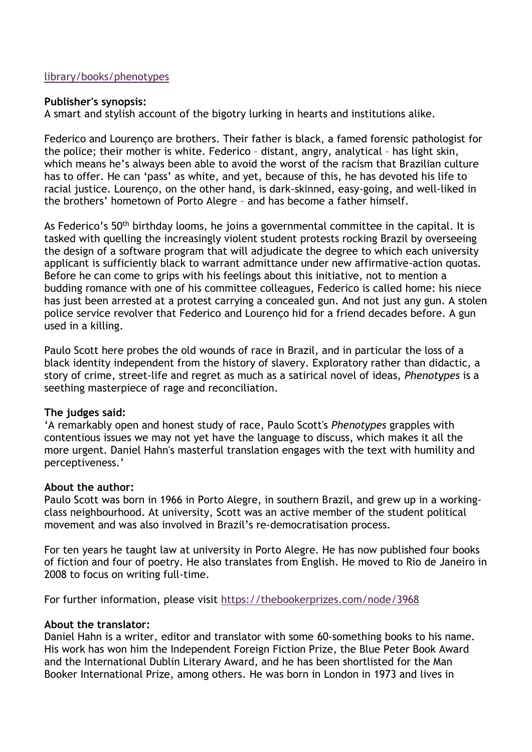## [library/books/phenotypes](https://thebookerprizes.com/the-booker-library/books/phenotypes)

## **Publisher's synopsis:**

A smart and stylish account of the bigotry lurking in hearts and institutions alike.

Federico and Lourenço are brothers. Their father is black, a famed forensic pathologist for the police; their mother is white. Federico – distant, angry, analytical – has light skin, which means he's always been able to avoid the worst of the racism that Brazilian culture has to offer. He can 'pass' as white, and yet, because of this, he has devoted his life to racial justice. Lourenço, on the other hand, is dark-skinned, easy-going, and well-liked in the brothers' hometown of Porto Alegre – and has become a father himself.

As Federico's 50<sup>th</sup> birthday looms, he joins a governmental committee in the capital. It is tasked with quelling the increasingly violent student protests rocking Brazil by overseeing the design of a software program that will adjudicate the degree to which each university applicant is sufficiently black to warrant admittance under new affirmative-action quotas. Before he can come to grips with his feelings about this initiative, not to mention a budding romance with one of his committee colleagues, Federico is called home: his niece has just been arrested at a protest carrying a concealed gun. And not just any gun. A stolen police service revolver that Federico and Lourenço hid for a friend decades before. A gun used in a killing.

Paulo Scott here probes the old wounds of race in Brazil, and in particular the loss of a black identity independent from the history of slavery. Exploratory rather than didactic, a story of crime, street-life and regret as much as a satirical novel of ideas, *Phenotypes* is a seething masterpiece of rage and reconciliation.

## **The judges said:**

'A remarkably open and honest study of race, Paulo Scott's *Phenotypes* grapples with contentious issues we may not yet have the language to discuss, which makes it all the more urgent. Daniel Hahn's masterful translation engages with the text with humility and perceptiveness.'

#### **About the author:**

Paulo Scott was born in 1966 in Porto Alegre, in southern Brazil, and grew up in a workingclass neighbourhood. At university, Scott was an active member of the student political movement and was also involved in Brazil's re-democratisation process.

For ten years he taught law at university in Porto Alegre. He has now published four books of fiction and four of poetry. He also translates from English. He moved to Rio de Janeiro in 2008 to focus on writing full-time.

For further information, please visit<https://thebookerprizes.com/node/3968>

## **About the translator:**

Daniel Hahn is a writer, editor and translator with some 60-something books to his name. His work has won him the Independent Foreign Fiction Prize, the Blue Peter Book Award and the International Dublin Literary Award, and he has been shortlisted for the Man Booker International Prize, among others. He was born in London in 1973 and lives in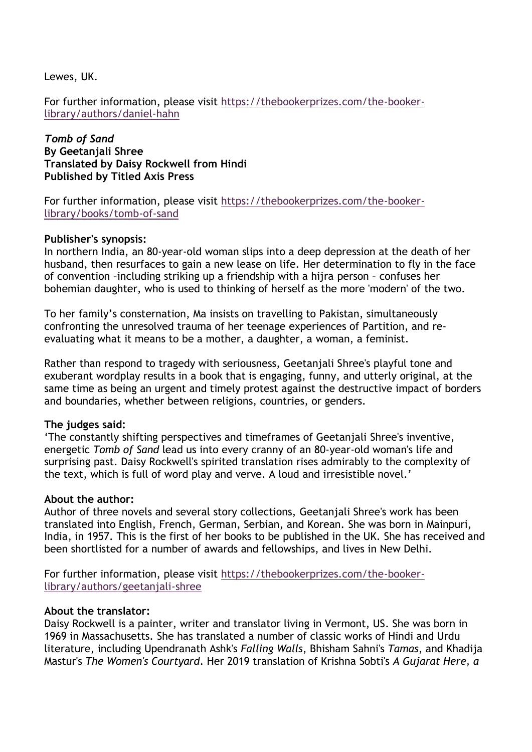Lewes, UK.

For further information, please visit [https://thebookerprizes.com/the-booker](https://thebookerprizes.com/the-booker-library/authors/daniel-hahn)[library/authors/daniel-hahn](https://thebookerprizes.com/the-booker-library/authors/daniel-hahn)

*Tomb of Sand* **By Geetanjali Shree Translated by Daisy Rockwell from Hindi Published by Titled Axis Press**

For further information, please visit [https://thebookerprizes.com/the-booker](https://thebookerprizes.com/the-booker-library/books/tomb-of-sand)[library/books/tomb-of-sand](https://thebookerprizes.com/the-booker-library/books/tomb-of-sand)

#### **Publisher's synopsis:**

In northern India, an 80-year-old woman slips into a deep depression at the death of her husband, then resurfaces to gain a new lease on life. Her determination to fly in the face of convention –including striking up a friendship with a hijra person – confuses her bohemian daughter, who is used to thinking of herself as the more 'modern' of the two.

To her family's consternation, Ma insists on travelling to Pakistan, simultaneously confronting the unresolved trauma of her teenage experiences of Partition, and reevaluating what it means to be a mother, a daughter, a woman, a feminist.

Rather than respond to tragedy with seriousness, Geetanjali Shree's playful tone and exuberant wordplay results in a book that is engaging, funny, and utterly original, at the same time as being an urgent and timely protest against the destructive impact of borders and boundaries, whether between religions, countries, or genders.

## **The judges said:**

'The constantly shifting perspectives and timeframes of Geetanjali Shree's inventive, energetic *Tomb of Sand* lead us into every cranny of an 80-year-old woman's life and surprising past. Daisy Rockwell's spirited translation rises admirably to the complexity of the text, which is full of word play and verve. A loud and irresistible novel.'

#### **About the author:**

Author of three novels and several story collections, Geetanjali Shree's work has been translated into English, French, German, Serbian, and Korean. She was born in Mainpuri, India, in 1957. This is the first of her books to be published in the UK. She has received and been shortlisted for a number of awards and fellowships, and lives in New Delhi.

For further information, please visit [https://thebookerprizes.com/the-booker](https://thebookerprizes.com/the-booker-library/authors/geetanjali-shree)[library/authors/geetanjali-shree](https://thebookerprizes.com/the-booker-library/authors/geetanjali-shree)

#### **About the translator:**

Daisy Rockwell is a painter, writer and translator living in Vermont, US. She was born in 1969 in Massachusetts. She has translated a number of classic works of Hindi and Urdu literature, including Upendranath Ashk's *Falling Walls*, Bhisham Sahni's *Tamas*, and Khadija Mastur's *The Women's Courtyard*. Her 2019 translation of Krishna Sobti's *A Gujarat Here, a*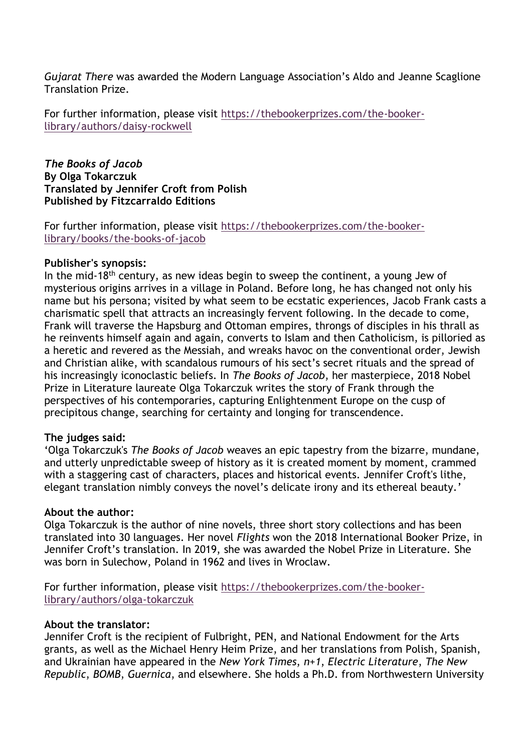*Gujarat There* was awarded the Modern Language Association's Aldo and Jeanne Scaglione Translation Prize.

For further information, please visit [https://thebookerprizes.com/the-booker](https://thebookerprizes.com/the-booker-library/authors/daisy-rockwell)[library/authors/daisy-rockwell](https://thebookerprizes.com/the-booker-library/authors/daisy-rockwell)

*The Books of Jacob* **By Olga Tokarczuk Translated by Jennifer Croft from Polish Published by Fitzcarraldo Editions**

For further information, please visit [https://thebookerprizes.com/the-booker](https://thebookerprizes.com/the-booker-library/books/the-books-of-jacob)[library/books/the-books-of-jacob](https://thebookerprizes.com/the-booker-library/books/the-books-of-jacob)

## **Publisher's synopsis:**

In the mid-18<sup>th</sup> century, as new ideas begin to sweep the continent, a young Jew of mysterious origins arrives in a village in Poland. Before long, he has changed not only his name but his persona; visited by what seem to be ecstatic experiences, Jacob Frank casts a charismatic spell that attracts an increasingly fervent following. In the decade to come, Frank will traverse the Hapsburg and Ottoman empires, throngs of disciples in his thrall as he reinvents himself again and again, converts to Islam and then Catholicism, is pilloried as a heretic and revered as the Messiah, and wreaks havoc on the conventional order, Jewish and Christian alike, with scandalous rumours of his sect's secret rituals and the spread of his increasingly iconoclastic beliefs. In *The Books of Jacob*, her masterpiece, 2018 Nobel Prize in Literature laureate Olga Tokarczuk writes the story of Frank through the perspectives of his contemporaries, capturing Enlightenment Europe on the cusp of precipitous change, searching for certainty and longing for transcendence.

## **The judges said:**

'Olga Tokarczuk's *The Books of Jacob* weaves an epic tapestry from the bizarre, mundane, and utterly unpredictable sweep of history as it is created moment by moment, crammed with a staggering cast of characters, places and historical events. Jennifer Croft's lithe, elegant translation nimbly conveys the novel's delicate irony and its ethereal beauty.'

#### **About the author:**

Olga Tokarczuk is the author of nine novels, three short story collections and has been translated into 30 languages. Her novel *Flights* won the 2018 International Booker Prize, in Jennifer Croft's translation. In 2019, she was awarded the Nobel Prize in Literature. She was born in Sulechow, Poland in 1962 and lives in Wroclaw.

For further information, please visit [https://thebookerprizes.com/the-booker](https://thebookerprizes.com/the-booker-library/authors/olga-tokarczuk)[library/authors/olga-tokarczuk](https://thebookerprizes.com/the-booker-library/authors/olga-tokarczuk)

#### **About the translator:**

Jennifer Croft is the recipient of Fulbright, PEN, and National Endowment for the Arts grants, as well as the Michael Henry Heim Prize, and her translations from Polish, Spanish, and Ukrainian have appeared in the *New York Times*, *n+1*, *Electric Literature*, *The New Republic*, *BOMB*, *Guernica*, and elsewhere. She holds a Ph.D. from Northwestern University